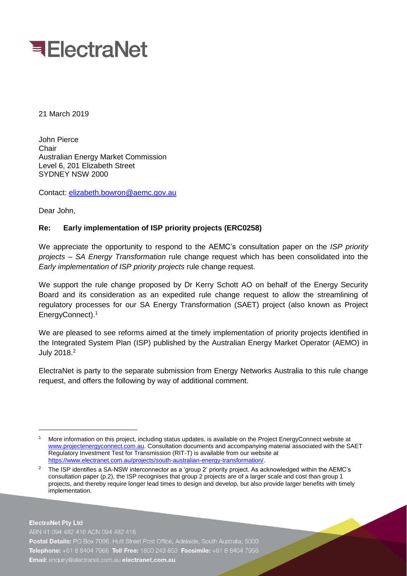

21 March 2019

John Pierce Chair Australian Energy Market Commission Level 6, 201 Elizabeth Street SYDNEY NSW 2000

Contact: [elizabeth.bowron@aemc.gov.au](mailto:elizabeth.bowron@aemc.gov.au)

Dear John,

-

## **Re: Early implementation of ISP priority projects (ERC0258)**

We appreciate the opportunity to respond to the AEMC's consultation paper on the *ISP priority projects – SA Energy Transformation* rule change request which has been consolidated into the *Early implementation of ISP priority projects* rule change request.

We support the rule change proposed by Dr Kerry Schott AO on behalf of the Energy Security Board and its consideration as an expedited rule change request to allow the streamlining of regulatory processes for our SA Energy Transformation (SAET) project (also known as Project EnergyConnect).<sup>1</sup>

We are pleased to see reforms aimed at the timely implementation of priority projects identified in the Integrated System Plan (ISP) published by the Australian Energy Market Operator (AEMO) in July 2018.<sup>2</sup>

ElectraNet is party to the separate submission from Energy Networks Australia to this rule change request, and offers the following by way of additional comment.

**ElectraNet Pty Ltd** ABN 41 094 482 416 ACN 094 482 416 Postal Details: PO Box 7096, Hutt Street Post Office, Adelaide, South Australia, 5000 Telephone: +61 8 8404 7966 Toll Free: 1800 243 853 Facsimile: +61 8 8404 7956 Email: enquiry@electranet.com.au electranet.com.au

More information on this project, including status updates, is available on the Project EnergyConnect website at [www.projectenergyconnect.com.au.](http://www.projectenergyconnect.com.au/) Consultation documents and accompanying material associated with the SAET Regulatory Investment Test for Transmission (RIT-T) is available from our website at [https://www.electranet.com.au/projects/south-australian-energy-transformation/.](https://www.electranet.com.au/projects/south-australian-energy-transformation/)

<sup>2</sup> The ISP identifies a SA-NSW interconnector as a 'group 2' priority project. As acknowledged within the AEMC's consultation paper (p.2), the ISP recognises that group 2 projects are of a larger scale and cost than group 1 projects, and thereby require longer lead times to design and develop, but also provide larger benefits with timely implementation.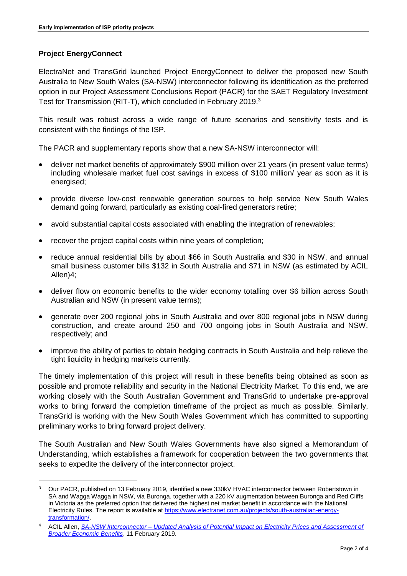## **Project EnergyConnect**

-

ElectraNet and TransGrid launched Project EnergyConnect to deliver the proposed new South Australia to New South Wales (SA-NSW) interconnector following its identification as the preferred option in our Project Assessment Conclusions Report (PACR) for the SAET Regulatory Investment Test for Transmission (RIT-T), which concluded in February 2019.<sup>3</sup>

This result was robust across a wide range of future scenarios and sensitivity tests and is consistent with the findings of the ISP.

The PACR and supplementary reports show that a new SA-NSW interconnector will:

- deliver net market benefits of approximately \$900 million over 21 years (in present value terms) including wholesale market fuel cost savings in excess of \$100 million/ year as soon as it is energised;
- provide diverse low-cost renewable generation sources to help service New South Wales demand going forward, particularly as existing coal-fired generators retire;
- avoid substantial capital costs associated with enabling the integration of renewables;
- recover the project capital costs within nine years of completion;
- reduce annual residential bills by about \$66 in South Australia and \$30 in NSW, and annual small business customer bills \$132 in South Australia and \$71 in NSW (as estimated by ACIL Allen)4;
- deliver flow on economic benefits to the wider economy totalling over \$6 billion across South Australian and NSW (in present value terms);
- generate over 200 regional jobs in South Australia and over 800 regional jobs in NSW during construction, and create around 250 and 700 ongoing jobs in South Australia and NSW, respectively; and
- improve the ability of parties to obtain hedging contracts in South Australia and help relieve the tight liquidity in hedging markets currently.

The timely implementation of this project will result in these benefits being obtained as soon as possible and promote reliability and security in the National Electricity Market. To this end, we are working closely with the South Australian Government and TransGrid to undertake pre-approval works to bring forward the completion timeframe of the project as much as possible. Similarly, TransGrid is working with the New South Wales Government which has committed to supporting preliminary works to bring forward project delivery.

The South Australian and New South Wales Governments have also signed a Memorandum of Understanding, which establishes a framework for cooperation between the two governments that seeks to expedite the delivery of the interconnector project.

<sup>3</sup> Our PACR, published on 13 February 2019, identified a new 330kV HVAC interconnector between Robertstown in SA and Wagga Wagga in NSW, via Buronga, together with a 220 kV augmentation between Buronga and Red Cliffs in Victoria as the preferred option that delivered the highest net market benefit in accordance with the National Electricity Rules. The report is available at [https://www.electranet.com.au/projects/south-australian-energy](https://www.electranet.com.au/projects/south-australian-energy-transformation/)[transformation/.](https://www.electranet.com.au/projects/south-australian-energy-transformation/)

<sup>4</sup> ACIL Allen, *SA-NSW Interconnector – [Updated Analysis of Potential Impact on Electricity Prices and Assessment of](https://www.electranet.com.au/wp-content/uploads/projects/2016/11/SA-NSW-Interconnector-–-Updated-Analysis-of-Potential-Impact-on-Electricity-Prices-and-Assessment-of-Broader-Economic-Benefits-ACIL-Al.pdf)  [Broader Economic Benefits](https://www.electranet.com.au/wp-content/uploads/projects/2016/11/SA-NSW-Interconnector-–-Updated-Analysis-of-Potential-Impact-on-Electricity-Prices-and-Assessment-of-Broader-Economic-Benefits-ACIL-Al.pdf)*, 11 February 2019.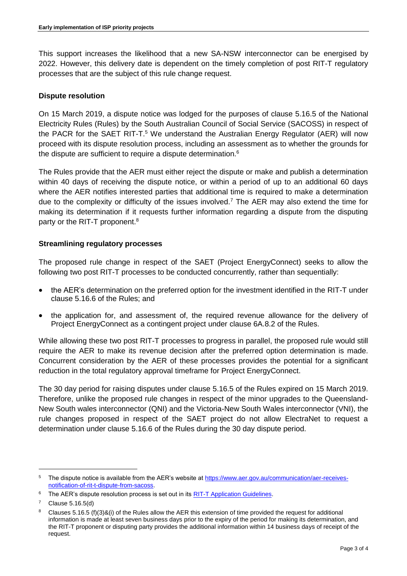This support increases the likelihood that a new SA-NSW interconnector can be energised by 2022. However, this delivery date is dependent on the timely completion of post RIT-T regulatory processes that are the subject of this rule change request.

## **Dispute resolution**

On 15 March 2019, a dispute notice was lodged for the purposes of clause 5.16.5 of the National Electricity Rules (Rules) by the South Australian Council of Social Service (SACOSS) in respect of the PACR for the SAET RIT-T.<sup>5</sup> We understand the Australian Energy Regulator (AER) will now proceed with its dispute resolution process, including an assessment as to whether the grounds for the dispute are sufficient to require a dispute determination.<sup>6</sup>

The Rules provide that the AER must either reject the dispute or make and publish a determination within 40 days of receiving the dispute notice, or within a period of up to an additional 60 days where the AER notifies interested parties that additional time is required to make a determination due to the complexity or difficulty of the issues involved.<sup>7</sup> The AER may also extend the time for making its determination if it requests further information regarding a dispute from the disputing party or the RIT-T proponent.<sup>8</sup>

## **Streamlining regulatory processes**

The proposed rule change in respect of the SAET (Project EnergyConnect) seeks to allow the following two post RIT-T processes to be conducted concurrently, rather than sequentially:

- the AER's determination on the preferred option for the investment identified in the RIT-T under clause 5.16.6 of the Rules; and
- the application for, and assessment of, the required revenue allowance for the delivery of Project EnergyConnect as a contingent project under clause 6A.8.2 of the Rules.

While allowing these two post RIT-T processes to progress in parallel, the proposed rule would still require the AER to make its revenue decision after the preferred option determination is made. Concurrent consideration by the AER of these processes provides the potential for a significant reduction in the total regulatory approval timeframe for Project EnergyConnect.

The 30 day period for raising disputes under clause 5.16.5 of the Rules expired on 15 March 2019. Therefore, unlike the proposed rule changes in respect of the minor upgrades to the Queensland-New South wales interconnector (QNI) and the Victoria-New South Wales interconnector (VNI), the rule changes proposed in respect of the SAET project do not allow ElectraNet to request a determination under clause 5.16.6 of the Rules during the 30 day dispute period.

-

<sup>5</sup> The dispute notice is available from the AER's website at [https://www.aer.gov.au/communication/aer-receives](https://www.aer.gov.au/communication/aer-receives-notification-of-rit-t-dispute-from-sacoss)[notification-of-rit-t-dispute-from-sacoss.](https://www.aer.gov.au/communication/aer-receives-notification-of-rit-t-dispute-from-sacoss)

<sup>&</sup>lt;sup>6</sup> The AER's dispute resolution process is set out in its **RIT-T Application Guidelines**.

Clause 5.16.5(d)

<sup>&</sup>lt;sup>8</sup> Clauses 5.16.5 (f)(3)&(i) of the Rules allow the AER this extension of time provided the request for additional information is made at least seven business days prior to the expiry of the period for making its determination, and the RIT-T proponent or disputing party provides the additional information within 14 business days of receipt of the request.